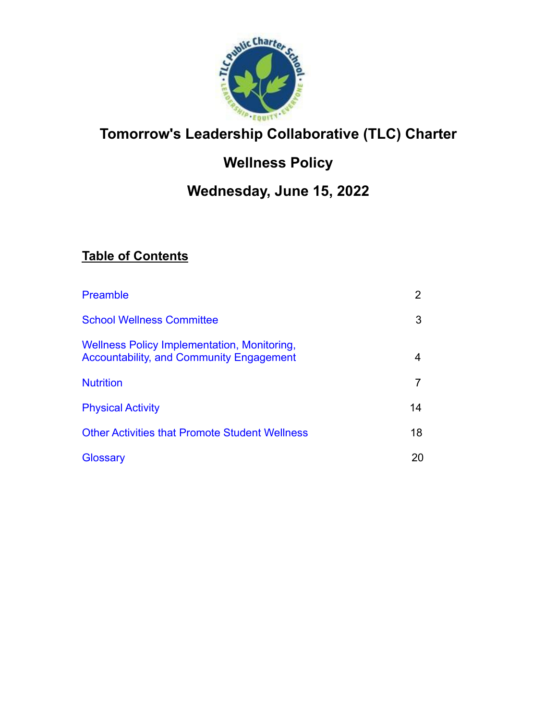

# **Tomorrow's Leadership Collaborative (TLC) Charter**

# **Wellness Policy**

## **Wednesday, June 15, 2022**

## **Table of Contents**

| <b>Preamble</b>                                                                                | 2  |
|------------------------------------------------------------------------------------------------|----|
| <b>School Wellness Committee</b>                                                               | 3  |
| Wellness Policy Implementation, Monitoring,<br><b>Accountability, and Community Engagement</b> |    |
| <b>Nutrition</b>                                                                               |    |
| <b>Physical Activity</b>                                                                       | 14 |
| <b>Other Activities that Promote Student Wellness</b>                                          | 18 |
| Glossary                                                                                       | 20 |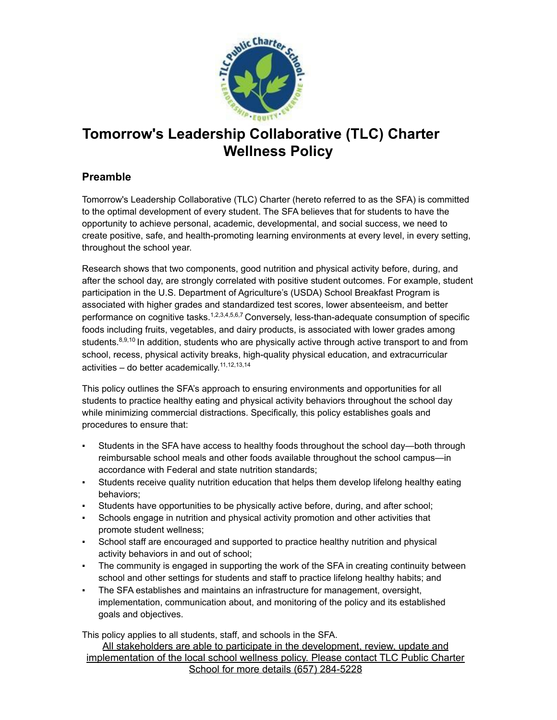

## <span id="page-1-1"></span>**Tomorrow's Leadership Collaborative (TLC) Charter Wellness Policy**

## <span id="page-1-0"></span>**Preamble**

Tomorrow's Leadership Collaborative (TLC) Charter (hereto referred to as the SFA) is committed to the optimal development of every student. The SFA believes that for students to have the opportunity to achieve personal, academic, developmental, and social success, we need to create positive, safe, and health-promoting learning environments at every level, in every setting, throughout the school year.

Research shows that two components, good nutrition and physical activity before, during, and after the school day, are strongly correlated with positive student outcomes. For example, student participation in the U.S. Department of Agriculture's (USDA) School Breakfast Program is associated with higher grades and standardized test scores, lower absenteeism, and better performance on cognitive tasks.<sup>1,2,3,4,5,6,7</sup> Conversely, less-than-adequate consumption of specific foods including fruits, vegetables, and dairy products, is associated with lower grades among students.<sup>8,9,10</sup> In addition, students who are physically active through active transport to and from school, recess, physical activity breaks, high-quality physical education, and extracurricular activities – do better academically.<sup>11,12,13,14</sup>

This policy outlines the SFA's approach to ensuring environments and opportunities for all students to practice healthy eating and physical activity behaviors throughout the school day while minimizing commercial distractions. Specifically, this policy establishes goals and procedures to ensure that:

- Students in the SFA have access to healthy foods throughout the school day—both through reimbursable school meals and other foods available throughout the school campus—in accordance with Federal and state nutrition standards;
- Students receive quality nutrition education that helps them develop lifelong healthy eating behaviors;
- Students have opportunities to be physically active before, during, and after school;
- Schools engage in nutrition and physical activity promotion and other activities that promote student wellness;
- School staff are encouraged and supported to practice healthy nutrition and physical activity behaviors in and out of school;
- The community is engaged in supporting the work of the SFA in creating continuity between school and other settings for students and staff to practice lifelong healthy habits; and
- The SFA establishes and maintains an infrastructure for management, oversight, implementation, communication about, and monitoring of the policy and its established goals and objectives.

This policy applies to all students, staff, and schools in the SFA.

All stakeholders are able to participate in the development, review, update and implementation of the local school wellness policy. Please contact TLC Public Charter School for more details (657) 284-5228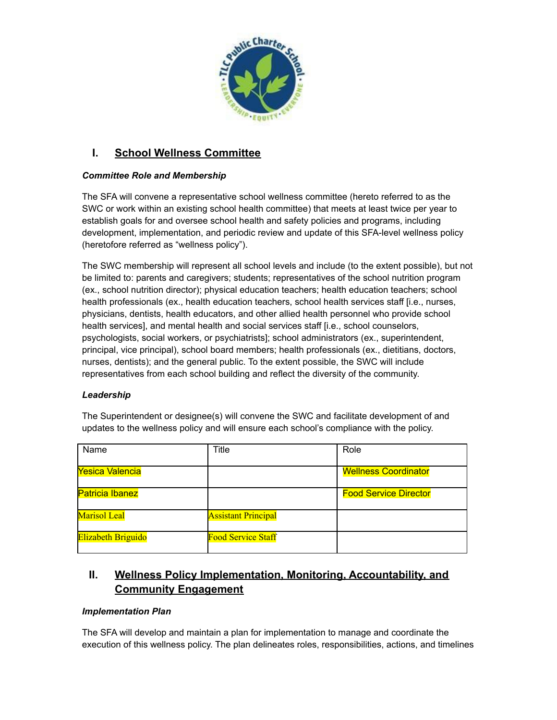

## **I. School Wellness Committee**

#### *Committee Role and Membership*

The SFA will convene a representative school wellness committee (hereto referred to as the SWC or work within an existing school health committee) that meets at least twice per year to establish goals for and oversee school health and safety policies and programs, including development, implementation, and periodic review and update of this SFA-level wellness policy (heretofore referred as "wellness policy").

The SWC membership will represent all school levels and include (to the extent possible), but not be limited to: parents and caregivers; students; representatives of the school nutrition program (ex., school nutrition director); physical education teachers; health education teachers; school health professionals (ex., health education teachers, school health services staff [i.e., nurses, physicians, dentists, health educators, and other allied health personnel who provide school health services], and mental health and social services staff [i.e., school counselors, psychologists, social workers, or psychiatrists]; school administrators (ex., superintendent, principal, vice principal), school board members; health professionals (ex., dietitians, doctors, nurses, dentists); and the general public. To the extent possible, the SWC will include representatives from each school building and reflect the diversity of the community.

#### *Leadership*

The Superintendent or designee(s) will convene the SWC and facilitate development of and updates to the wellness policy and will ensure each school's compliance with the policy.

| Name                      | Title                      | Role                         |
|---------------------------|----------------------------|------------------------------|
| Yesica Valencia           |                            | <b>Wellness Coordinator</b>  |
| <b>Patricia Ibanez</b>    |                            | <b>Food Service Director</b> |
| <b>Marisol Leal</b>       | <b>Assistant Principal</b> |                              |
| <b>Elizabeth Briguido</b> | <b>Food Service Staff</b>  |                              |

## <span id="page-2-0"></span>**II. Wellness Policy Implementation, Monitoring, Accountability, and Community Engagement**

#### *Implementation Plan*

The SFA will develop and maintain a plan for implementation to manage and coordinate the execution of this wellness policy. The plan delineates roles, responsibilities, actions, and timelines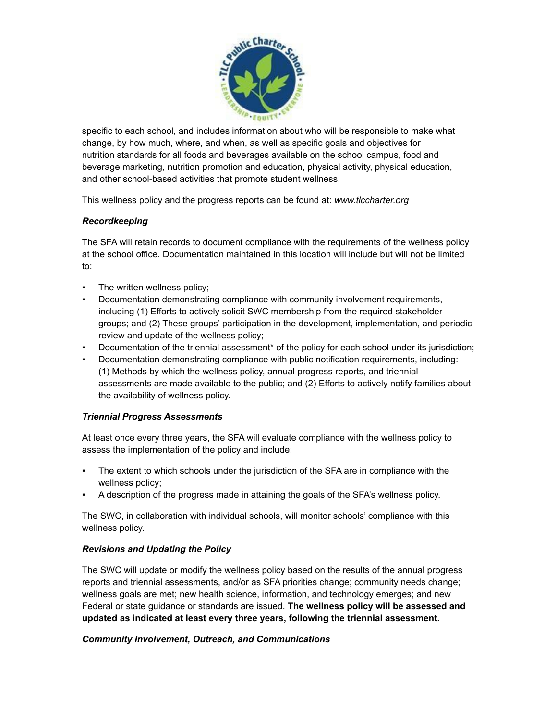

specific to each school, and includes information about who will be responsible to make what change, by how much, where, and when, as well as specific goals and objectives for nutrition standards for all foods and beverages available on the school campus, food and beverage marketing, nutrition promotion and education, physical activity, physical education, and other school-based activities that promote student wellness.

This wellness policy and the progress reports can be found at: *[www.tlccharter.org](http://www.tlccharter.org/)*

#### *Recordkeeping*

The SFA will retain records to document compliance with the requirements of the wellness policy at the school office. Documentation maintained in this location will include but will not be limited to:

- The written wellness policy;
- Documentation demonstrating compliance with community involvement requirements, including (1) Efforts to actively solicit SWC membership from the required stakeholder groups; and (2) These groups' participation in the development, implementation, and periodic review and update of the wellness policy;
- Documentation of the triennial assessment\* of the policy for each school under its jurisdiction;
- Documentation demonstrating compliance with public notification requirements, including: (1) Methods by which the wellness policy, annual progress reports, and triennial assessments are made available to the public; and (2) Efforts to actively notify families about the availability of wellness policy.

#### *Triennial Progress Assessments*

At least once every three years, the SFA will evaluate compliance with the wellness policy to assess the implementation of the policy and include:

- The extent to which schools under the jurisdiction of the SFA are in compliance with the wellness policy;
- A description of the progress made in attaining the goals of the SFA's wellness policy.

The SWC, in collaboration with individual schools, will monitor schools' compliance with this wellness policy.

#### *Revisions and Updating the Policy*

The SWC will update or modify the wellness policy based on the results of the annual progress reports and triennial assessments, and/or as SFA priorities change; community needs change; wellness goals are met; new health science, information, and technology emerges; and new Federal or state guidance or standards are issued. **The wellness policy will be assessed and updated as indicated at least every three years, following the triennial assessment.**

#### *Community Involvement, Outreach, and Communications*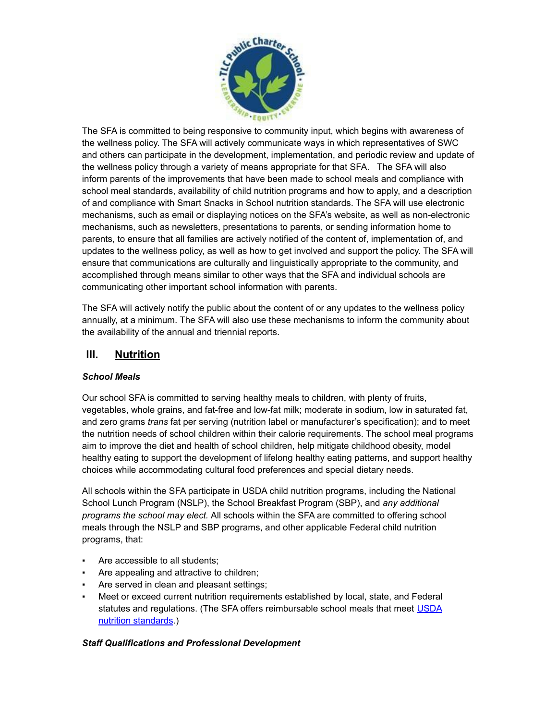

The SFA is committed to being responsive to community input, which begins with awareness of the wellness policy. The SFA will actively communicate ways in which representatives of SWC and others can participate in the development, implementation, and periodic review and update of the wellness policy through a variety of means appropriate for that SFA. The SFA will also inform parents of the improvements that have been made to school meals and compliance with school meal standards, availability of child nutrition programs and how to apply, and a description of and compliance with Smart Snacks in School nutrition standards. The SFA will use electronic mechanisms, such as email or displaying notices on the SFA's website, as well as non-electronic mechanisms, such as newsletters, presentations to parents, or sending information home to parents, to ensure that all families are actively notified of the content of, implementation of, and updates to the wellness policy, as well as how to get involved and support the policy. The SFA will ensure that communications are culturally and linguistically appropriate to the community, and accomplished through means similar to other ways that the SFA and individual schools are communicating other important school information with parents.

The SFA will actively notify the public about the content of or any updates to the wellness policy annually, at a minimum. The SFA will also use these mechanisms to inform the community about the availability of the annual and triennial reports.

### <span id="page-4-0"></span>**III. Nutrition**

#### *School Meals*

Our school SFA is committed to serving healthy meals to children, with plenty of fruits, vegetables, whole grains, and fat-free and low-fat milk; moderate in sodium, low in saturated fat, and zero grams *trans* fat per serving (nutrition label or manufacturer's specification); and to meet the nutrition needs of school children within their calorie requirements. The school meal programs aim to improve the diet and health of school children, help mitigate childhood obesity, model healthy eating to support the development of lifelong healthy eating patterns, and support healthy choices while accommodating cultural food preferences and special dietary needs.

All schools within the SFA participate in USDA child nutrition programs, including the National School Lunch Program (NSLP), the School Breakfast Program (SBP), and *any additional programs the school may elect.* All schools within the SFA are committed to offering school meals through the NSLP and SBP programs, and other applicable Federal child nutrition programs, that:

- Are accessible to all students;
- Are appealing and attractive to children;
- Are served in clean and pleasant settings;
- Meet or exceed current nutrition requirements established by local, state, and Federal statutes and regulations. (The SFA offers reimbursable school meals that meet [USDA](http://www.fns.usda.gov/school-meals/nutrition-standards-school-meals) nutrition [standards.](http://www.fns.usda.gov/school-meals/nutrition-standards-school-meals))

#### *Staff Qualifications and Professional Development*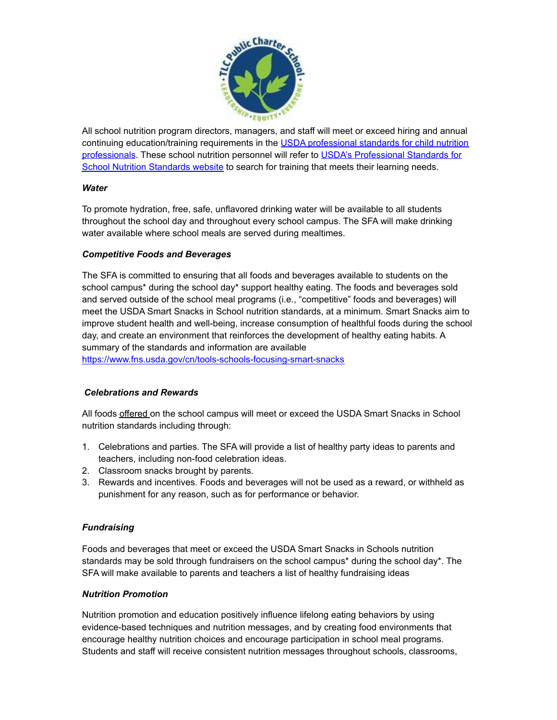

All school nutrition program directors, managers, and staff will meet or exceed hiring and annual continuing education/training requirements in the USDA [professional](https://www.fns.usda.gov/cn/professional-standards) standards for child nutrition [professionals.](http://www.fns.usda.gov/sites/default/files/CN2014-0130.pdf) These school nutrition personnel will refer to USDA's [Professional](http://professionalstandards.nal.usda.gov/) Standards for School Nutrition [Standards](http://professionalstandards.nal.usda.gov/) website to search for training that meets their learning needs.

#### *Water*

To promote hydration, free, safe, unflavored drinking water will be available to all students throughout the school day and throughout every school campus. The SFA will make drinking water available where school meals are served during mealtimes.

#### *Competitive Foods and Beverages*

The SFA is committed to ensuring that all foods and beverages available to students on the school campus\* during the school day\* support healthy eating. The foods and beverages sold and served outside of the school meal programs (i.e., "competitive" foods and beverages) will meet the USDA Smart Snacks in School nutrition standards, at a minimum. Smart Snacks aim to improve student health and well-being, increase consumption of healthful foods during the school day, and create an environment that reinforces the development of healthy eating habits. A summary of the standards and information are available

<https://www.fns.usda.gov/cn/tools-schools-focusing-smart-snacks>

#### *Celebrations and Rewards*

All foods offered on the school campus will meet or exceed the USDA Smart Snacks in School nutrition standards including through:

- 1. Celebrations and parties. The SFA will provide a list of healthy party ideas to parents and teachers, including non-food celebration ideas.
- 2. Classroom snacks brought by parents.
- 3. Rewards and incentives. Foods and beverages will not be used as a reward, or withheld as punishment for any reason, such as for performance or behavior.

#### *Fundraising*

Foods and beverages that meet or exceed the USDA Smart Snacks in Schools nutrition standards may be sold through fundraisers on the school campus\* during the school day\*. The SFA will make available to parents and teachers a list of healthy fundraising ideas

#### *Nutrition Promotion*

Nutrition promotion and education positively influence lifelong eating behaviors by using evidence-based techniques and nutrition messages, and by creating food environments that encourage healthy nutrition choices and encourage participation in school meal programs. Students and staff will receive consistent nutrition messages throughout schools, classrooms,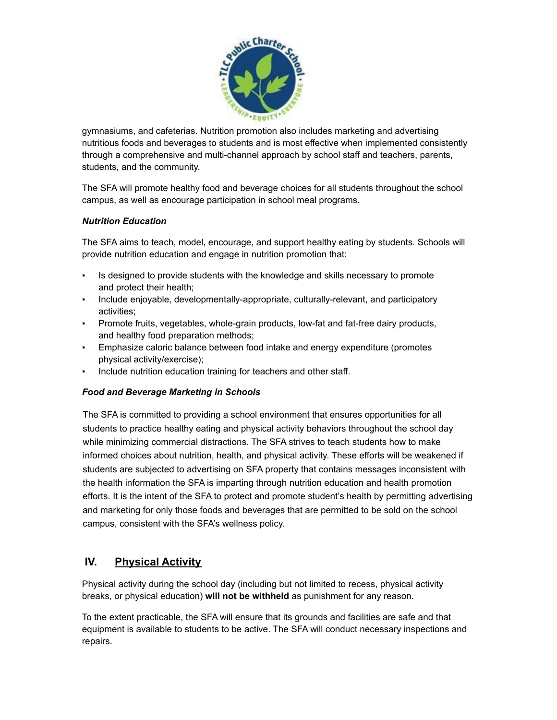

gymnasiums, and cafeterias. Nutrition promotion also includes marketing and advertising nutritious foods and beverages to students and is most effective when implemented consistently through a comprehensive and multi-channel approach by school staff and teachers, parents, students, and the community.

The SFA will promote healthy food and beverage choices for all students throughout the school campus, as well as encourage participation in school meal programs.

#### *Nutrition Education*

The SFA aims to teach, model, encourage, and support healthy eating by students. Schools will provide nutrition education and engage in nutrition promotion that:

- Is designed to provide students with the knowledge and skills necessary to promote and protect their health;
- Include enjoyable, developmentally-appropriate, culturally-relevant, and participatory activities;
- Promote fruits, vegetables, whole-grain products, low-fat and fat-free dairy products, and healthy food preparation methods;
- Emphasize caloric balance between food intake and energy expenditure (promotes physical activity/exercise);
- Include nutrition education training for teachers and other staff.

#### *Food and Beverage Marketing in Schools*

The SFA is committed to providing a school environment that ensures opportunities for all students to practice healthy eating and physical activity behaviors throughout the school day while minimizing commercial distractions. The SFA strives to teach students how to make informed choices about nutrition, health, and physical activity. These efforts will be weakened if students are subjected to advertising on SFA property that contains messages inconsistent with the health information the SFA is imparting through nutrition education and health promotion efforts. It is the intent of the SFA to protect and promote student's health by permitting advertising and marketing for only those foods and beverages that are permitted to be sold on the school campus, consistent with the SFA's wellness policy.

### <span id="page-6-0"></span>**IV. Physical Activity**

Physical activity during the school day (including but not limited to recess, physical activity breaks, or physical education) **will not be withheld** as punishment for any reason.

To the extent practicable, the SFA will ensure that its grounds and facilities are safe and that equipment is available to students to be active. The SFA will conduct necessary inspections and repairs.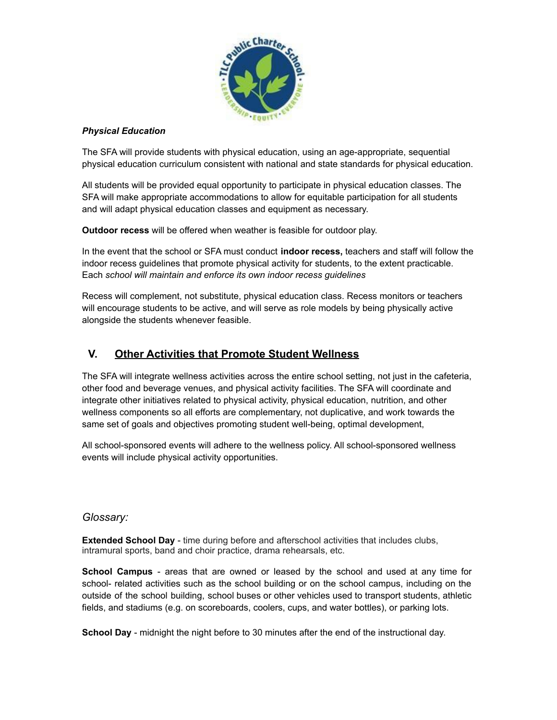

#### *Physical Education*

The SFA will provide students with physical education, using an age-appropriate, sequential physical education curriculum consistent with national and state standards for physical education.

All students will be provided equal opportunity to participate in physical education classes. The SFA will make appropriate accommodations to allow for equitable participation for all students and will adapt physical education classes and equipment as necessary.

**Outdoor recess** will be offered when weather is feasible for outdoor play.

In the event that the school or SFA must conduct **indoor recess,** teachers and staff will follow the indoor recess guidelines that promote physical activity for students, to the extent practicable. Each *school will maintain and enforce its own indoor recess guidelines*

Recess will complement, not substitute, physical education class. Recess monitors or teachers will encourage students to be active, and will serve as role models by being physically active alongside the students whenever feasible.

### <span id="page-7-0"></span>**V. Other Activities that Promote Student Wellness**

The SFA will integrate wellness activities across the entire school setting, not just in the cafeteria, other food and beverage venues, and physical activity facilities. The SFA will coordinate and integrate other initiatives related to physical activity, physical education, nutrition, and other wellness components so all efforts are complementary, not duplicative, and work towards the same set of goals and objectives promoting student well-being, optimal development,

All school-sponsored events will adhere to the wellness policy. All school-sponsored wellness events will include physical activity opportunities.

#### <span id="page-7-1"></span>*Glossary:*

**Extended School Day** - time during before and afterschool activities that includes clubs, intramural sports, band and choir practice, drama rehearsals, etc.

**School Campus** - areas that are owned or leased by the school and used at any time for school- related activities such as the school building or on the school campus, including on the outside of the school building, school buses or other vehicles used to transport students, athletic fields, and stadiums (e.g. on scoreboards, coolers, cups, and water bottles), or parking lots.

**School Day** - midnight the night before to 30 minutes after the end of the instructional day.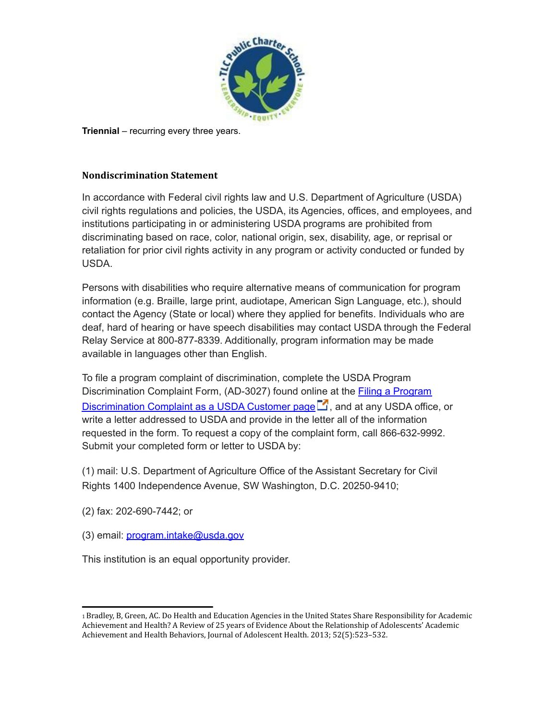

**Triennial** – recurring every three years.

#### **Nondiscrimination Statement**

In accordance with Federal civil rights law and U.S. Department of Agriculture (USDA) civil rights regulations and policies, the USDA, its Agencies, offices, and employees, and institutions participating in or administering USDA programs are prohibited from discriminating based on race, color, national origin, sex, disability, age, or reprisal or retaliation for prior civil rights activity in any program or activity conducted or funded by USDA.

Persons with disabilities who require alternative means of communication for program information (e.g. Braille, large print, audiotape, American Sign Language, etc.), should contact the Agency (State or local) where they applied for benefits. Individuals who are deaf, hard of hearing or have speech disabilities may contact USDA through the Federal Relay Service at 800-877-8339. Additionally, program information may be made available in languages other than English.

To file a program complaint of discrimination, complete the USDA Program Discrimination Complaint Form, (AD-3027) found online at the Filing a [Program](http://www.ascr.usda.gov/complaint_filing_cust.html) [Discrimination](http://www.ascr.usda.gov/complaint_filing_cust.html) Complaint as a USDA Customer page  $\Box$ , and at any USDA office, or write a letter addressed to USDA and provide in the letter all of the information requested in the form. To request a copy of the complaint form, call 866-632-9992. Submit your completed form or letter to USDA by:

(1) mail: U.S. Department of Agriculture Office of the Assistant Secretary for Civil Rights 1400 Independence Avenue, SW Washington, D.C. 20250-9410;

(2) fax: 202-690-7442; or

(3) email: [program.intake@usda.gov](mailto:program.intake@usda.gov)

This institution is an equal opportunity provider.

<sup>1</sup>Bradley, B, Green, AC. Do Health and Education Agencies in the United States Share Responsibility for Academic Achievement and Health? A Review of 25 years of Evidence About the Relationship of Adolescents' Academic Achievement and Health Behaviors, Journal of Adolescent Health. 2013; 52(5):523–532.